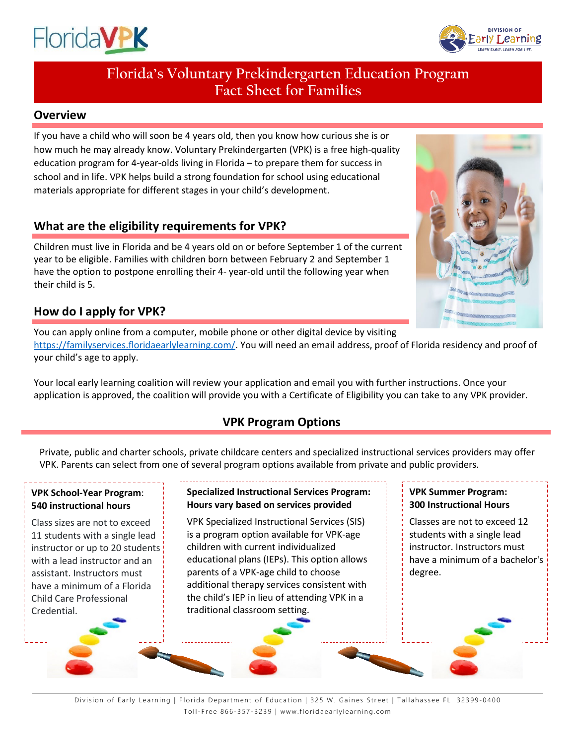# **FloridaVPK**



## **Florida's Voluntary Prekindergarten Education Program Fact Sheet for Families**

#### **Overview**

If you have a child who will soon be 4 years old, then you know how curious she is or how much he may already know. Voluntary Prekindergarten (VPK) is a free high-quality education program for 4-year-olds living in Florida – to prepare them for success in school and in life. VPK helps build a strong foundation for school using educational materials appropriate for different stages in your child's development.

## **What are the eligibility requirements for VPK?**

Children must live in Florida and be 4 years old on or before September 1 of the current year to be eligible. Families with children born between February 2 and September 1 have the option to postpone enrolling their 4- year-old until the following year when their child is 5.

## **How do I apply for VPK?**

You can apply online from a computer, mobile phone or other digital device by visiting [https://familyservices.floridaearlylearning.com/.](https://familyservices.floridaearlylearning.com/) You will need an email address, proof of Florida residency and proof of your child's age to apply.

Your local early learning coalition will review your application and email you with further instructions. Once your application is approved, the coalition will provide you with a Certificate of Eligibility you can take to any VPK provider.

## **VPK Program Options**

Private, public and charter schools, private childcare centers and specialized instructional services providers may offer VPK. Parents can select from one of several program options available from private and public providers.

#### **VPK School-Year Program**: **540 instructional hours**

Class sizes are not to exceed 11 students with a single lead instructor or up to 20 students with a lead instructor and an assistant. Instructors must have a minimum of a Florida Child Care Professional Credential.

#### **Specialized Instructional Services Program: Hours vary based on services provided**

VPK Specialized Instructional Services (SIS) is a program option available for VPK-age children with current individualized educational plans (IEPs). This option allows parents of a VPK-age child to choose additional therapy services consistent with the child's IEP in lieu of attending VPK in a traditional classroom setting.

## **VPK Summer Program: 300 Instructional Hours**

Classes are not to exceed 12 students with a single lead instructor. Instructors must have a minimum of a bachelor's degree.